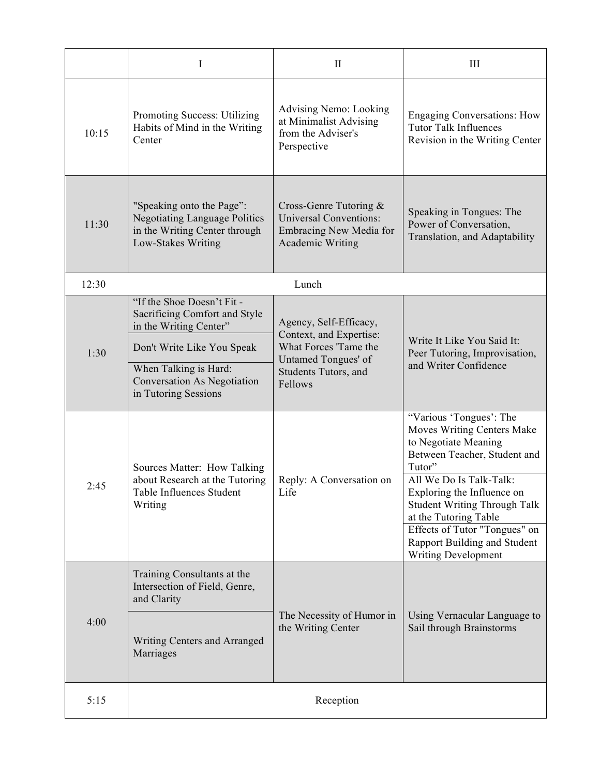|       | I                                                                                                                                                                                                  | $\mathbf{I}$                                                                                                                         | III                                                                                                                                                                                                                                                                                                                                             |
|-------|----------------------------------------------------------------------------------------------------------------------------------------------------------------------------------------------------|--------------------------------------------------------------------------------------------------------------------------------------|-------------------------------------------------------------------------------------------------------------------------------------------------------------------------------------------------------------------------------------------------------------------------------------------------------------------------------------------------|
| 10:15 | Promoting Success: Utilizing<br>Habits of Mind in the Writing<br>Center                                                                                                                            | Advising Nemo: Looking<br>at Minimalist Advising<br>from the Adviser's<br>Perspective                                                | <b>Engaging Conversations: How</b><br><b>Tutor Talk Influences</b><br>Revision in the Writing Center                                                                                                                                                                                                                                            |
| 11:30 | "Speaking onto the Page":<br><b>Negotiating Language Politics</b><br>in the Writing Center through<br>Low-Stakes Writing                                                                           | Cross-Genre Tutoring $\&$<br><b>Universal Conventions:</b><br>Embracing New Media for<br><b>Academic Writing</b>                     | Speaking in Tongues: The<br>Power of Conversation,<br>Translation, and Adaptability                                                                                                                                                                                                                                                             |
| 12:30 | Lunch                                                                                                                                                                                              |                                                                                                                                      |                                                                                                                                                                                                                                                                                                                                                 |
| 1:30  | "If the Shoe Doesn't Fit-<br>Sacrificing Comfort and Style<br>in the Writing Center"<br>Don't Write Like You Speak<br>When Talking is Hard:<br>Conversation As Negotiation<br>in Tutoring Sessions | Agency, Self-Efficacy,<br>Context, and Expertise:<br>What Forces 'Tame the<br>Untamed Tongues' of<br>Students Tutors, and<br>Fellows | Write It Like You Said It:<br>Peer Tutoring, Improvisation,<br>and Writer Confidence                                                                                                                                                                                                                                                            |
| 2:45  | Sources Matter: How Talking<br>about Research at the Tutoring<br>Table Influences Student<br>Writing                                                                                               | Reply: A Conversation on<br>Life                                                                                                     | "Various 'Tongues': The<br>Moves Writing Centers Make<br>to Negotiate Meaning<br>Between Teacher, Student and<br>Tutor"<br>All We Do Is Talk-Talk:<br>Exploring the Influence on<br><b>Student Writing Through Talk</b><br>at the Tutoring Table<br>Effects of Tutor "Tongues" on<br>Rapport Building and Student<br><b>Writing Development</b> |
| 4:00  | Training Consultants at the<br>Intersection of Field, Genre,<br>and Clarity<br>Writing Centers and Arranged<br>Marriages                                                                           | The Necessity of Humor in<br>the Writing Center                                                                                      | Using Vernacular Language to<br>Sail through Brainstorms                                                                                                                                                                                                                                                                                        |
| 5:15  | Reception                                                                                                                                                                                          |                                                                                                                                      |                                                                                                                                                                                                                                                                                                                                                 |